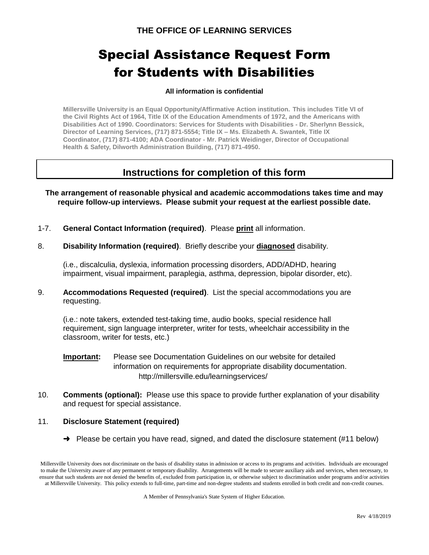# Special Assistance Request Form for Students with Disabilities

#### **All information is confidential**

**Millersville University is an Equal Opportunity/Affirmative Action institution. This includes Title VI of the Civil Rights Act of 1964, Title IX of the Education Amendments of 1972, and the Americans with Disabilities Act of 1990. Coordinators: Services for Students with Disabilities - Dr. Sherlynn Bessick, Director of Learning Services, (717) 871-5554; Title IX – Ms. Elizabeth A. Swantek, Title IX Coordinator, (717) 871-4100; ADA Coordinator - Mr. Patrick Weidinger, Director of Occupational Health & Safety, Dilworth Administration Building, (717) 871-4950.**

## **Instructions for completion of this form**

**The arrangement of reasonable physical and academic accommodations takes time and may require follow-up interviews. Please submit your request at the earliest possible date.**

- 1-7. **General Contact Information (required)**. Please **print** all information.
- 8. **Disability Information (required)**. Briefly describe your **diagnosed** disability.

(i.e., discalculia, dyslexia, information processing disorders, ADD/ADHD, hearing impairment, visual impairment, paraplegia, asthma, depression, bipolar disorder, etc).

9. **Accommodations Requested (required)**. List the special accommodations you are requesting.

(i.e.: note takers, extended test-taking time, audio books, special residence hall requirement, sign language interpreter, writer for tests, wheelchair accessibility in the classroom, writer for tests, etc.)

- **Important:** Please see Documentation Guidelines on our website for detailed information on requirements for appropriate disability documentation. http://millersville.edu/learningservices/
- 10. **Comments (optional):** Please use this space to provide further explanation of your disability and request for special assistance.

#### 11. **Disclosure Statement (required)**

 $\rightarrow$  Please be certain you have read, signed, and dated the disclosure statement (#11 below)

A Member of Pennsylvania's State System of Higher Education.

Millersville University does not discriminate on the basis of disability status in admission or access to its programs and activities. Individuals are encouraged to make the University aware of any permanent or temporary disability. Arrangements will be made to secure auxiliary aids and services, when necessary, to ensure that such students are not denied the benefits of, excluded from participation in, or otherwise subject to discrimination under programs and/or activities at Millersville University. This policy extends to full-time, part-time and non-degree students and students enrolled in both credit and non-credit courses.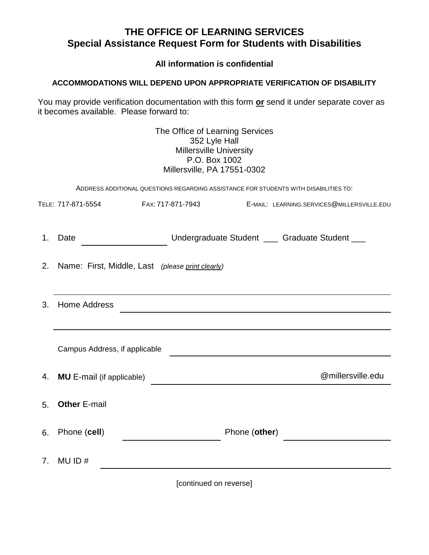# **THE OFFICE OF LEARNING SERVICES Special Assistance Request Form for Students with Disabilities**

**All information is confidential**

## **ACCOMMODATIONS WILL DEPEND UPON APPROPRIATE VERIFICATION OF DISABILITY**

You may provide verification documentation with this form **or** send it under separate cover as it becomes available. Please forward to:

|                                                                                      |                                                                                                                                                 | The Office of Learning Services<br>352 Lyle Hall<br><b>Millersville University</b><br>P.O. Box 1002<br>Millersville, PA 17551-0302 |                                                |  |
|--------------------------------------------------------------------------------------|-------------------------------------------------------------------------------------------------------------------------------------------------|------------------------------------------------------------------------------------------------------------------------------------|------------------------------------------------|--|
| ADDRESS ADDITIONAL QUESTIONS REGARDING ASSISTANCE FOR STUDENTS WITH DISABILITIES TO: |                                                                                                                                                 |                                                                                                                                    |                                                |  |
|                                                                                      |                                                                                                                                                 |                                                                                                                                    | E-MAIL: LEARNING.SERVICES@MILLERSVILLE.EDU     |  |
| 1.                                                                                   | Date                                                                                                                                            |                                                                                                                                    | Undergraduate Student ___ Graduate Student ___ |  |
| 2.                                                                                   | Name: First, Middle, Last (please print clearly)                                                                                                |                                                                                                                                    |                                                |  |
|                                                                                      |                                                                                                                                                 |                                                                                                                                    |                                                |  |
| 3.                                                                                   | <b>Home Address</b><br><u> 1980 - Johann John Stein, markin fan it fjort fan it fjort fan it fjort fan it fjort fan it fjort fan it fjort f</u> |                                                                                                                                    |                                                |  |
|                                                                                      |                                                                                                                                                 |                                                                                                                                    |                                                |  |
|                                                                                      | Campus Address, if applicable                                                                                                                   |                                                                                                                                    |                                                |  |
| 4.                                                                                   | <b>MU</b> E-mail (if applicable)                                                                                                                |                                                                                                                                    | @millersville.edu                              |  |
| 5.                                                                                   | <b>Other E-mail</b>                                                                                                                             |                                                                                                                                    |                                                |  |
| 6.                                                                                   | Phone (cell)                                                                                                                                    | Phone (other)                                                                                                                      |                                                |  |
| <b>7</b> .                                                                           | MU ID $#$                                                                                                                                       |                                                                                                                                    |                                                |  |

[continued on reverse]